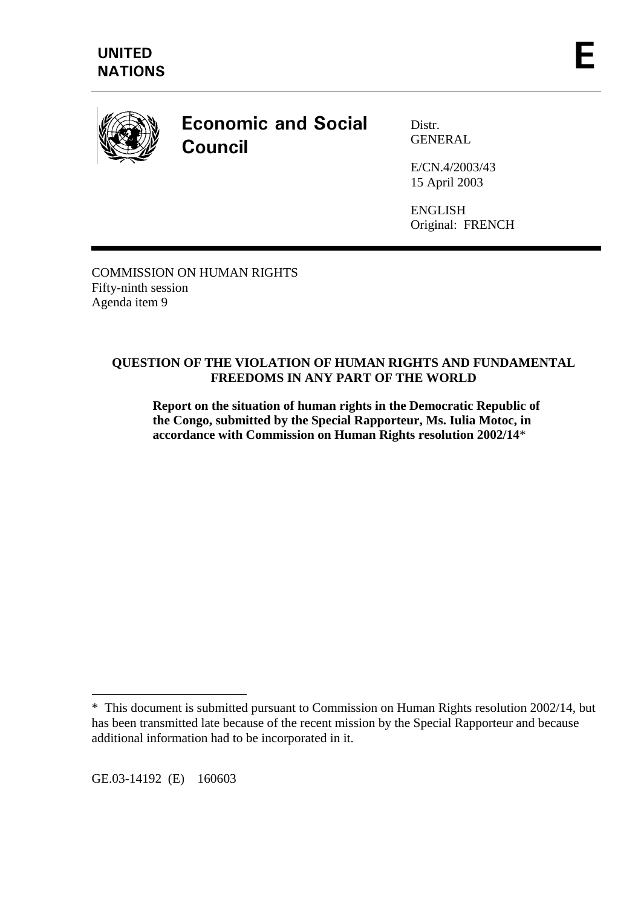

# **Economic and Social Council**

Distr. GENERAL

E/CN.4/2003/43 15 April 2003

ENGLISH Original: FRENCH

COMMISSION ON HUMAN RIGHTS Fifty-ninth session Agenda item 9

# **QUESTION OF THE VIOLATION OF HUMAN RIGHTS AND FUNDAMENTAL FREEDOMS IN ANY PART OF THE WORLD**

**Report on the situation of human rights in the Democratic Republic of the Congo, submitted by the Special Rapporteur, Ms. Iulia Motoc, in accordance with Commission on Human Rights resolution 2002/14**\*

GE.03-14192 (E) 160603

 $\overline{a}$ 

<sup>\*</sup> This document is submitted pursuant to Commission on Human Rights resolution 2002/14, but has been transmitted late because of the recent mission by the Special Rapporteur and because additional information had to be incorporated in it.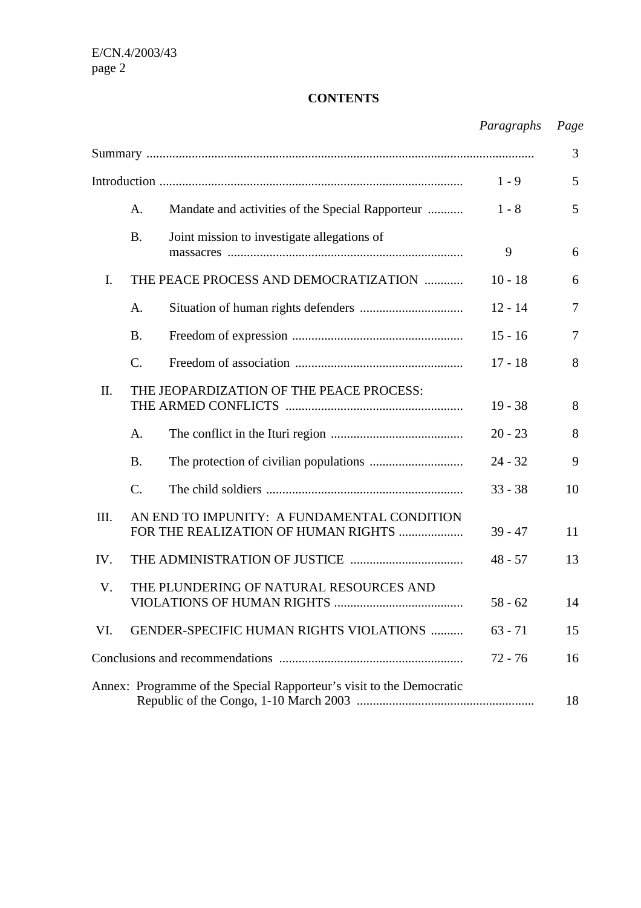# **CONTENTS**

|      |                                                                                    | Paragraphs | Page |
|------|------------------------------------------------------------------------------------|------------|------|
|      |                                                                                    |            | 3    |
|      |                                                                                    | $1 - 9$    | 5    |
|      | A.<br>Mandate and activities of the Special Rapporteur                             | $1 - 8$    | 5    |
|      | Joint mission to investigate allegations of<br><b>B.</b>                           | 9          | 6    |
| I.   | THE PEACE PROCESS AND DEMOCRATIZATION                                              | $10 - 18$  | 6    |
|      | A.                                                                                 | $12 - 14$  | 7    |
|      | <b>B.</b>                                                                          | $15 - 16$  | 7    |
|      | $\mathcal{C}$ .                                                                    | $17 - 18$  | 8    |
| II.  | THE JEOPARDIZATION OF THE PEACE PROCESS:                                           | $19 - 38$  | 8    |
|      | A.                                                                                 | $20 - 23$  | 8    |
|      | <b>B.</b>                                                                          | $24 - 32$  | 9    |
|      | $\mathcal{C}$ .                                                                    | $33 - 38$  | 10   |
| III. | AN END TO IMPUNITY: A FUNDAMENTAL CONDITION<br>FOR THE REALIZATION OF HUMAN RIGHTS | $39 - 47$  | 11   |
| IV.  |                                                                                    | $48 - 57$  | 13   |
| V.   | THE PLUNDERING OF NATURAL RESOURCES AND<br>VIOLATIONS OF HUMAN RIGHTS<br>$58 - 62$ |            |      |
| VI.  | GENDER-SPECIFIC HUMAN RIGHTS VIOLATIONS<br>$63 - 71$                               |            | 15   |
|      |                                                                                    | $72 - 76$  | 16   |
|      | Annex: Programme of the Special Rapporteur's visit to the Democratic               |            | 18   |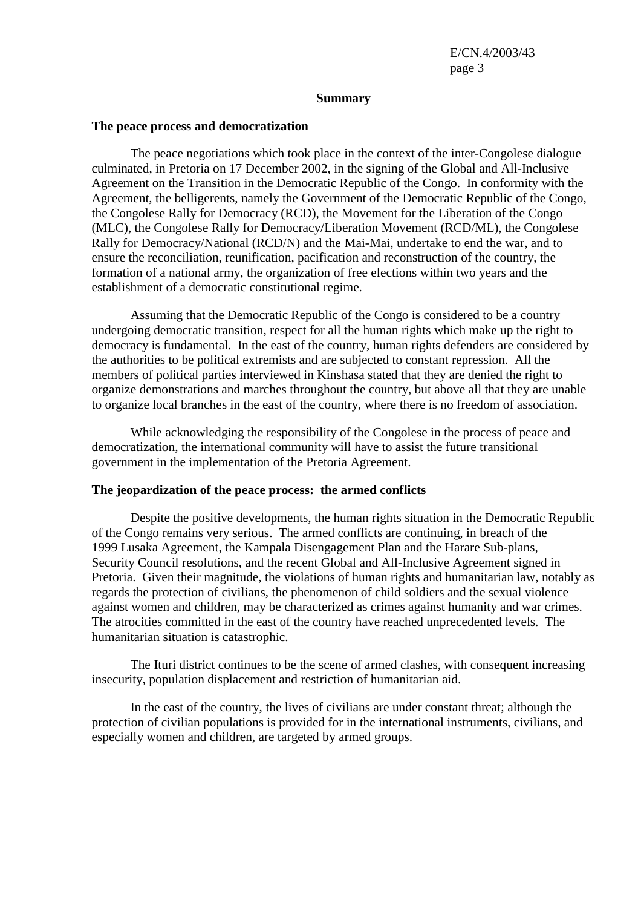#### **Summary**

#### **The peace process and democratization**

 The peace negotiations which took place in the context of the inter-Congolese dialogue culminated, in Pretoria on 17 December 2002, in the signing of the Global and All-Inclusive Agreement on the Transition in the Democratic Republic of the Congo. In conformity with the Agreement, the belligerents, namely the Government of the Democratic Republic of the Congo, the Congolese Rally for Democracy (RCD), the Movement for the Liberation of the Congo (MLC), the Congolese Rally for Democracy/Liberation Movement (RCD/ML), the Congolese Rally for Democracy/National (RCD/N) and the Mai-Mai, undertake to end the war, and to ensure the reconciliation, reunification, pacification and reconstruction of the country, the formation of a national army, the organization of free elections within two years and the establishment of a democratic constitutional regime.

 Assuming that the Democratic Republic of the Congo is considered to be a country undergoing democratic transition, respect for all the human rights which make up the right to democracy is fundamental. In the east of the country, human rights defenders are considered by the authorities to be political extremists and are subjected to constant repression. All the members of political parties interviewed in Kinshasa stated that they are denied the right to organize demonstrations and marches throughout the country, but above all that they are unable to organize local branches in the east of the country, where there is no freedom of association.

 While acknowledging the responsibility of the Congolese in the process of peace and democratization, the international community will have to assist the future transitional government in the implementation of the Pretoria Agreement.

#### **The jeopardization of the peace process: the armed conflicts**

 Despite the positive developments, the human rights situation in the Democratic Republic of the Congo remains very serious. The armed conflicts are continuing, in breach of the 1999 Lusaka Agreement, the Kampala Disengagement Plan and the Harare Sub-plans, Security Council resolutions, and the recent Global and All-Inclusive Agreement signed in Pretoria. Given their magnitude, the violations of human rights and humanitarian law, notably as regards the protection of civilians, the phenomenon of child soldiers and the sexual violence against women and children, may be characterized as crimes against humanity and war crimes. The atrocities committed in the east of the country have reached unprecedented levels. The humanitarian situation is catastrophic.

 The Ituri district continues to be the scene of armed clashes, with consequent increasing insecurity, population displacement and restriction of humanitarian aid.

 In the east of the country, the lives of civilians are under constant threat; although the protection of civilian populations is provided for in the international instruments, civilians, and especially women and children, are targeted by armed groups.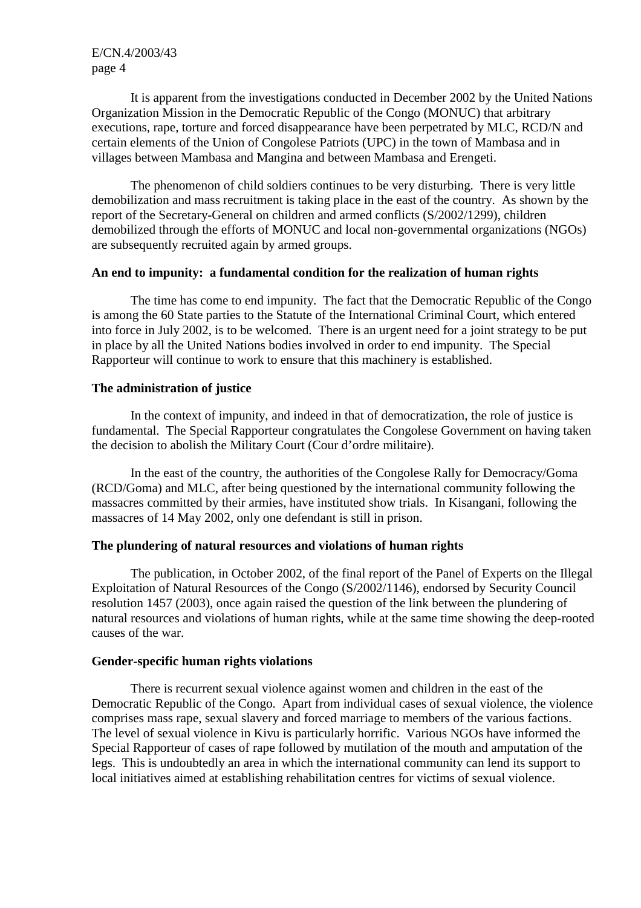It is apparent from the investigations conducted in December 2002 by the United Nations Organization Mission in the Democratic Republic of the Congo (MONUC) that arbitrary executions, rape, torture and forced disappearance have been perpetrated by MLC, RCD/N and certain elements of the Union of Congolese Patriots (UPC) in the town of Mambasa and in villages between Mambasa and Mangina and between Mambasa and Erengeti.

 The phenomenon of child soldiers continues to be very disturbing. There is very little demobilization and mass recruitment is taking place in the east of the country. As shown by the report of the Secretary-General on children and armed conflicts (S/2002/1299), children demobilized through the efforts of MONUC and local non-governmental organizations (NGOs) are subsequently recruited again by armed groups.

#### **An end to impunity: a fundamental condition for the realization of human rights**

 The time has come to end impunity. The fact that the Democratic Republic of the Congo is among the 60 State parties to the Statute of the International Criminal Court, which entered into force in July 2002, is to be welcomed. There is an urgent need for a joint strategy to be put in place by all the United Nations bodies involved in order to end impunity. The Special Rapporteur will continue to work to ensure that this machinery is established.

#### **The administration of justice**

 In the context of impunity, and indeed in that of democratization, the role of justice is fundamental. The Special Rapporteur congratulates the Congolese Government on having taken the decision to abolish the Military Court (Cour d'ordre militaire).

 In the east of the country, the authorities of the Congolese Rally for Democracy/Goma (RCD/Goma) and MLC, after being questioned by the international community following the massacres committed by their armies, have instituted show trials. In Kisangani, following the massacres of 14 May 2002, only one defendant is still in prison.

#### **The plundering of natural resources and violations of human rights**

 The publication, in October 2002, of the final report of the Panel of Experts on the Illegal Exploitation of Natural Resources of the Congo (S/2002/1146), endorsed by Security Council resolution 1457 (2003), once again raised the question of the link between the plundering of natural resources and violations of human rights, while at the same time showing the deep-rooted causes of the war.

#### **Gender-specific human rights violations**

 There is recurrent sexual violence against women and children in the east of the Democratic Republic of the Congo. Apart from individual cases of sexual violence, the violence comprises mass rape, sexual slavery and forced marriage to members of the various factions. The level of sexual violence in Kivu is particularly horrific. Various NGOs have informed the Special Rapporteur of cases of rape followed by mutilation of the mouth and amputation of the legs. This is undoubtedly an area in which the international community can lend its support to local initiatives aimed at establishing rehabilitation centres for victims of sexual violence.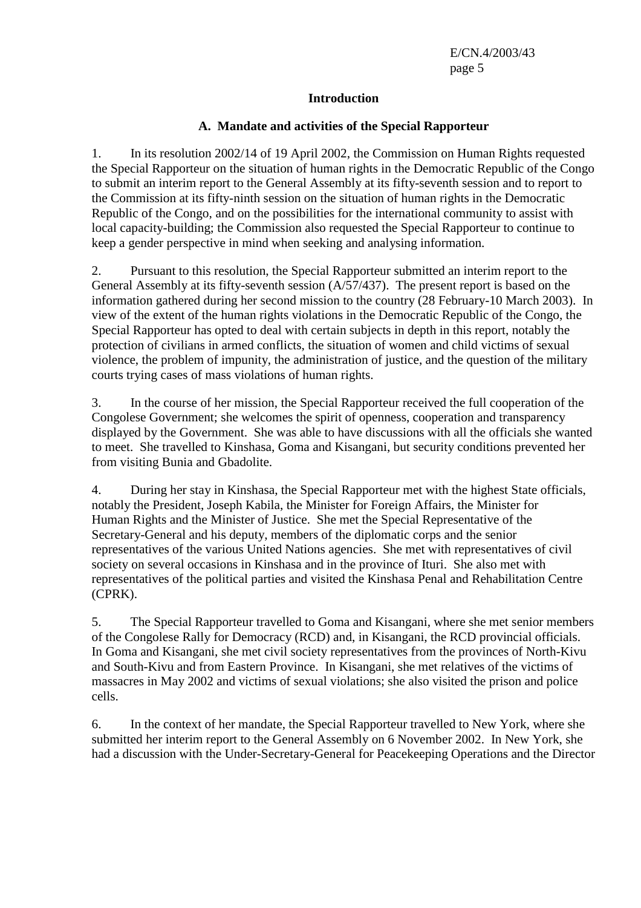#### **Introduction**

#### **A. Mandate and activities of the Special Rapporteur**

1. In its resolution 2002/14 of 19 April 2002, the Commission on Human Rights requested the Special Rapporteur on the situation of human rights in the Democratic Republic of the Congo to submit an interim report to the General Assembly at its fifty-seventh session and to report to the Commission at its fifty-ninth session on the situation of human rights in the Democratic Republic of the Congo, and on the possibilities for the international community to assist with local capacity-building; the Commission also requested the Special Rapporteur to continue to keep a gender perspective in mind when seeking and analysing information.

2. Pursuant to this resolution, the Special Rapporteur submitted an interim report to the General Assembly at its fifty-seventh session (A/57/437). The present report is based on the information gathered during her second mission to the country (28 February-10 March 2003). In view of the extent of the human rights violations in the Democratic Republic of the Congo, the Special Rapporteur has opted to deal with certain subjects in depth in this report, notably the protection of civilians in armed conflicts, the situation of women and child victims of sexual violence, the problem of impunity, the administration of justice, and the question of the military courts trying cases of mass violations of human rights.

3. In the course of her mission, the Special Rapporteur received the full cooperation of the Congolese Government; she welcomes the spirit of openness, cooperation and transparency displayed by the Government. She was able to have discussions with all the officials she wanted to meet. She travelled to Kinshasa, Goma and Kisangani, but security conditions prevented her from visiting Bunia and Gbadolite.

4. During her stay in Kinshasa, the Special Rapporteur met with the highest State officials, notably the President, Joseph Kabila, the Minister for Foreign Affairs, the Minister for Human Rights and the Minister of Justice. She met the Special Representative of the Secretary-General and his deputy, members of the diplomatic corps and the senior representatives of the various United Nations agencies. She met with representatives of civil society on several occasions in Kinshasa and in the province of Ituri. She also met with representatives of the political parties and visited the Kinshasa Penal and Rehabilitation Centre (CPRK).

5. The Special Rapporteur travelled to Goma and Kisangani, where she met senior members of the Congolese Rally for Democracy (RCD) and, in Kisangani, the RCD provincial officials. In Goma and Kisangani, she met civil society representatives from the provinces of North-Kivu and South-Kivu and from Eastern Province. In Kisangani, she met relatives of the victims of massacres in May 2002 and victims of sexual violations; she also visited the prison and police cells.

6. In the context of her mandate, the Special Rapporteur travelled to New York, where she submitted her interim report to the General Assembly on 6 November 2002. In New York, she had a discussion with the Under-Secretary-General for Peacekeeping Operations and the Director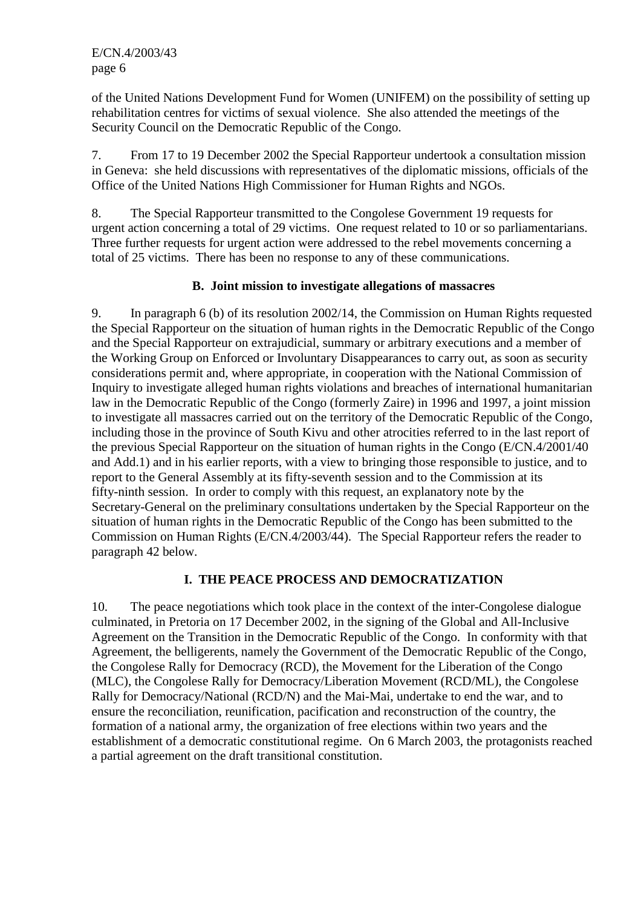of the United Nations Development Fund for Women (UNIFEM) on the possibility of setting up rehabilitation centres for victims of sexual violence. She also attended the meetings of the Security Council on the Democratic Republic of the Congo.

7. From 17 to 19 December 2002 the Special Rapporteur undertook a consultation mission in Geneva: she held discussions with representatives of the diplomatic missions, officials of the Office of the United Nations High Commissioner for Human Rights and NGOs.

8. The Special Rapporteur transmitted to the Congolese Government 19 requests for urgent action concerning a total of 29 victims. One request related to 10 or so parliamentarians. Three further requests for urgent action were addressed to the rebel movements concerning a total of 25 victims. There has been no response to any of these communications.

#### **B. Joint mission to investigate allegations of massacres**

9. In paragraph 6 (b) of its resolution 2002/14, the Commission on Human Rights requested the Special Rapporteur on the situation of human rights in the Democratic Republic of the Congo and the Special Rapporteur on extrajudicial, summary or arbitrary executions and a member of the Working Group on Enforced or Involuntary Disappearances to carry out, as soon as security considerations permit and, where appropriate, in cooperation with the National Commission of Inquiry to investigate alleged human rights violations and breaches of international humanitarian law in the Democratic Republic of the Congo (formerly Zaire) in 1996 and 1997, a joint mission to investigate all massacres carried out on the territory of the Democratic Republic of the Congo, including those in the province of South Kivu and other atrocities referred to in the last report of the previous Special Rapporteur on the situation of human rights in the Congo (E/CN.4/2001/40 and Add.1) and in his earlier reports, with a view to bringing those responsible to justice, and to report to the General Assembly at its fifty-seventh session and to the Commission at its fifty-ninth session. In order to comply with this request, an explanatory note by the Secretary-General on the preliminary consultations undertaken by the Special Rapporteur on the situation of human rights in the Democratic Republic of the Congo has been submitted to the Commission on Human Rights (E/CN.4/2003/44). The Special Rapporteur refers the reader to paragraph 42 below.

#### **I. THE PEACE PROCESS AND DEMOCRATIZATION**

10. The peace negotiations which took place in the context of the inter-Congolese dialogue culminated, in Pretoria on 17 December 2002, in the signing of the Global and All-Inclusive Agreement on the Transition in the Democratic Republic of the Congo. In conformity with that Agreement, the belligerents, namely the Government of the Democratic Republic of the Congo, the Congolese Rally for Democracy (RCD), the Movement for the Liberation of the Congo (MLC), the Congolese Rally for Democracy/Liberation Movement (RCD/ML), the Congolese Rally for Democracy/National (RCD/N) and the Mai-Mai, undertake to end the war, and to ensure the reconciliation, reunification, pacification and reconstruction of the country, the formation of a national army, the organization of free elections within two years and the establishment of a democratic constitutional regime. On 6 March 2003, the protagonists reached a partial agreement on the draft transitional constitution.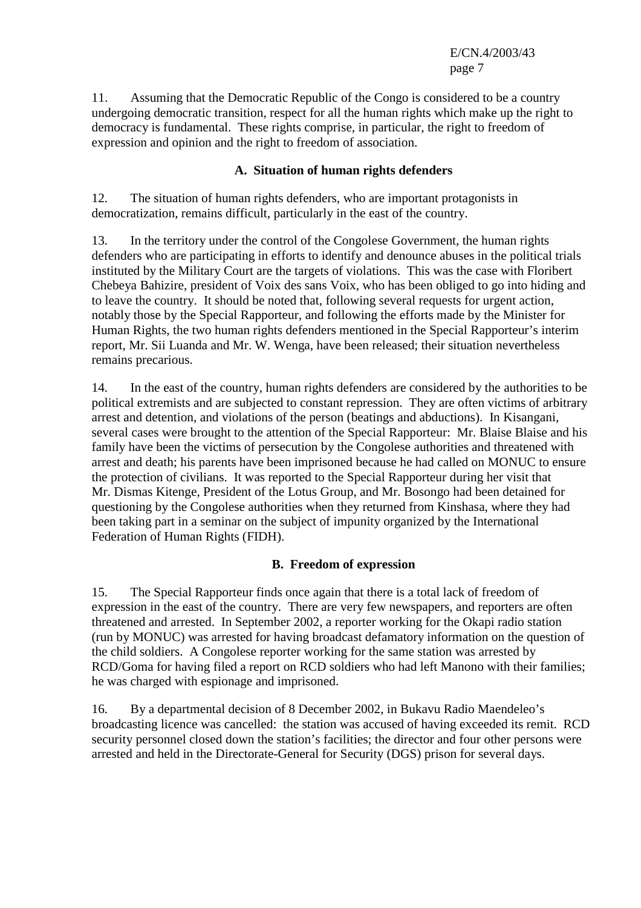11. Assuming that the Democratic Republic of the Congo is considered to be a country undergoing democratic transition, respect for all the human rights which make up the right to democracy is fundamental. These rights comprise, in particular, the right to freedom of expression and opinion and the right to freedom of association.

### **A. Situation of human rights defenders**

12. The situation of human rights defenders, who are important protagonists in democratization, remains difficult, particularly in the east of the country.

13. In the territory under the control of the Congolese Government, the human rights defenders who are participating in efforts to identify and denounce abuses in the political trials instituted by the Military Court are the targets of violations. This was the case with Floribert Chebeya Bahizire, president of Voix des sans Voix, who has been obliged to go into hiding and to leave the country. It should be noted that, following several requests for urgent action, notably those by the Special Rapporteur, and following the efforts made by the Minister for Human Rights, the two human rights defenders mentioned in the Special Rapporteur's interim report, Mr. Sii Luanda and Mr. W. Wenga, have been released; their situation nevertheless remains precarious.

14. In the east of the country, human rights defenders are considered by the authorities to be political extremists and are subjected to constant repression. They are often victims of arbitrary arrest and detention, and violations of the person (beatings and abductions). In Kisangani, several cases were brought to the attention of the Special Rapporteur: Mr. Blaise Blaise and his family have been the victims of persecution by the Congolese authorities and threatened with arrest and death; his parents have been imprisoned because he had called on MONUC to ensure the protection of civilians. It was reported to the Special Rapporteur during her visit that Mr. Dismas Kitenge, President of the Lotus Group, and Mr. Bosongo had been detained for questioning by the Congolese authorities when they returned from Kinshasa, where they had been taking part in a seminar on the subject of impunity organized by the International Federation of Human Rights (FIDH).

#### **B. Freedom of expression**

15. The Special Rapporteur finds once again that there is a total lack of freedom of expression in the east of the country. There are very few newspapers, and reporters are often threatened and arrested. In September 2002, a reporter working for the Okapi radio station (run by MONUC) was arrested for having broadcast defamatory information on the question of the child soldiers. A Congolese reporter working for the same station was arrested by RCD/Goma for having filed a report on RCD soldiers who had left Manono with their families; he was charged with espionage and imprisoned.

16. By a departmental decision of 8 December 2002, in Bukavu Radio Maendeleo's broadcasting licence was cancelled: the station was accused of having exceeded its remit. RCD security personnel closed down the station's facilities; the director and four other persons were arrested and held in the Directorate-General for Security (DGS) prison for several days.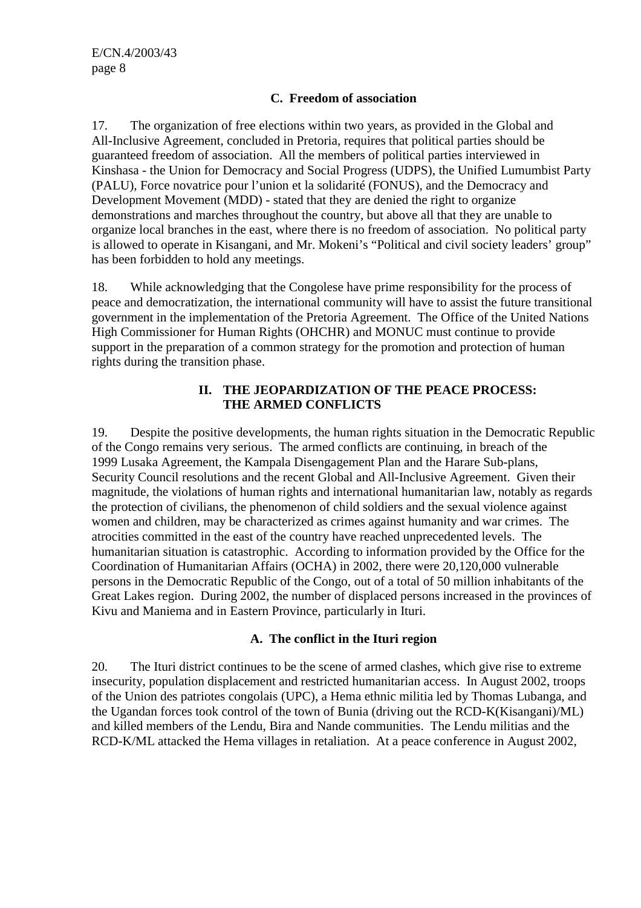#### **C. Freedom of association**

17. The organization of free elections within two years, as provided in the Global and All-Inclusive Agreement, concluded in Pretoria, requires that political parties should be guaranteed freedom of association. All the members of political parties interviewed in Kinshasa - the Union for Democracy and Social Progress (UDPS), the Unified Lumumbist Party (PALU), Force novatrice pour l'union et la solidarité (FONUS), and the Democracy and Development Movement (MDD) - stated that they are denied the right to organize demonstrations and marches throughout the country, but above all that they are unable to organize local branches in the east, where there is no freedom of association. No political party is allowed to operate in Kisangani, and Mr. Mokeni's "Political and civil society leaders' group" has been forbidden to hold any meetings.

18. While acknowledging that the Congolese have prime responsibility for the process of peace and democratization, the international community will have to assist the future transitional government in the implementation of the Pretoria Agreement. The Office of the United Nations High Commissioner for Human Rights (OHCHR) and MONUC must continue to provide support in the preparation of a common strategy for the promotion and protection of human rights during the transition phase.

#### **II. THE JEOPARDIZATION OF THE PEACE PROCESS: THE ARMED CONFLICTS**

19. Despite the positive developments, the human rights situation in the Democratic Republic of the Congo remains very serious. The armed conflicts are continuing, in breach of the 1999 Lusaka Agreement, the Kampala Disengagement Plan and the Harare Sub-plans, Security Council resolutions and the recent Global and All-Inclusive Agreement. Given their magnitude, the violations of human rights and international humanitarian law, notably as regards the protection of civilians, the phenomenon of child soldiers and the sexual violence against women and children, may be characterized as crimes against humanity and war crimes. The atrocities committed in the east of the country have reached unprecedented levels. The humanitarian situation is catastrophic. According to information provided by the Office for the Coordination of Humanitarian Affairs (OCHA) in 2002, there were 20,120,000 vulnerable persons in the Democratic Republic of the Congo, out of a total of 50 million inhabitants of the Great Lakes region. During 2002, the number of displaced persons increased in the provinces of Kivu and Maniema and in Eastern Province, particularly in Ituri.

#### **A. The conflict in the Ituri region**

20. The Ituri district continues to be the scene of armed clashes, which give rise to extreme insecurity, population displacement and restricted humanitarian access. In August 2002, troops of the Union des patriotes congolais (UPC), a Hema ethnic militia led by Thomas Lubanga, and the Ugandan forces took control of the town of Bunia (driving out the RCD-K(Kisangani)/ML) and killed members of the Lendu, Bira and Nande communities. The Lendu militias and the RCD-K/ML attacked the Hema villages in retaliation. At a peace conference in August 2002,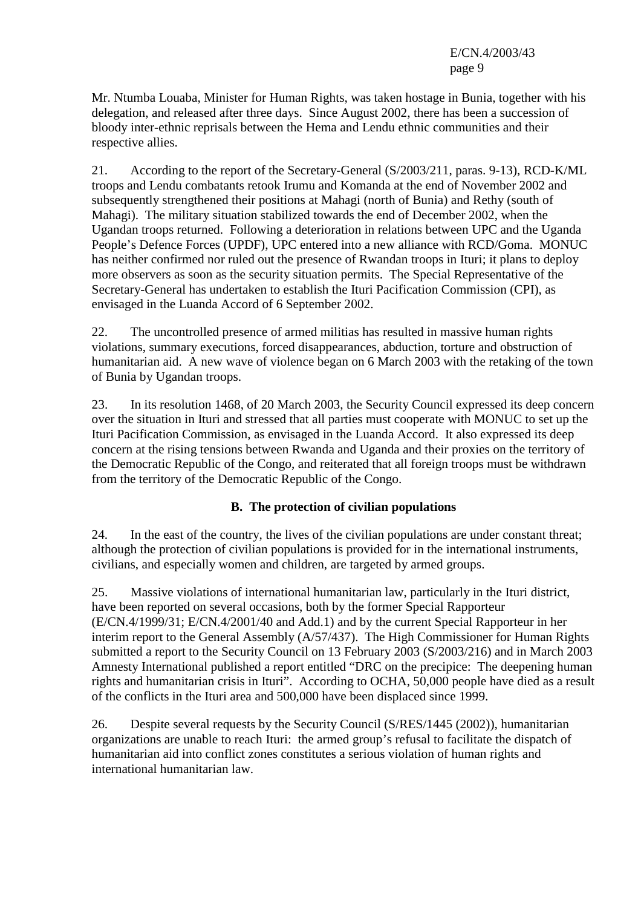Mr. Ntumba Louaba, Minister for Human Rights, was taken hostage in Bunia, together with his delegation, and released after three days. Since August 2002, there has been a succession of bloody inter-ethnic reprisals between the Hema and Lendu ethnic communities and their respective allies.

21. According to the report of the Secretary-General (S/2003/211, paras. 9-13), RCD-K/ML troops and Lendu combatants retook Irumu and Komanda at the end of November 2002 and subsequently strengthened their positions at Mahagi (north of Bunia) and Rethy (south of Mahagi). The military situation stabilized towards the end of December 2002, when the Ugandan troops returned. Following a deterioration in relations between UPC and the Uganda People's Defence Forces (UPDF), UPC entered into a new alliance with RCD/Goma. MONUC has neither confirmed nor ruled out the presence of Rwandan troops in Ituri; it plans to deploy more observers as soon as the security situation permits. The Special Representative of the Secretary-General has undertaken to establish the Ituri Pacification Commission (CPI), as envisaged in the Luanda Accord of 6 September 2002.

22. The uncontrolled presence of armed militias has resulted in massive human rights violations, summary executions, forced disappearances, abduction, torture and obstruction of humanitarian aid. A new wave of violence began on 6 March 2003 with the retaking of the town of Bunia by Ugandan troops.

23. In its resolution 1468, of 20 March 2003, the Security Council expressed its deep concern over the situation in Ituri and stressed that all parties must cooperate with MONUC to set up the Ituri Pacification Commission, as envisaged in the Luanda Accord. It also expressed its deep concern at the rising tensions between Rwanda and Uganda and their proxies on the territory of the Democratic Republic of the Congo, and reiterated that all foreign troops must be withdrawn from the territory of the Democratic Republic of the Congo.

# **B. The protection of civilian populations**

24. In the east of the country, the lives of the civilian populations are under constant threat; although the protection of civilian populations is provided for in the international instruments, civilians, and especially women and children, are targeted by armed groups.

25. Massive violations of international humanitarian law, particularly in the Ituri district, have been reported on several occasions, both by the former Special Rapporteur (E/CN.4/1999/31; E/CN.4/2001/40 and Add.1) and by the current Special Rapporteur in her interim report to the General Assembly (A/57/437). The High Commissioner for Human Rights submitted a report to the Security Council on 13 February 2003 (S/2003/216) and in March 2003 Amnesty International published a report entitled "DRC on the precipice: The deepening human rights and humanitarian crisis in Ituri". According to OCHA, 50,000 people have died as a result of the conflicts in the Ituri area and 500,000 have been displaced since 1999.

26. Despite several requests by the Security Council (S/RES/1445 (2002)), humanitarian organizations are unable to reach Ituri: the armed group's refusal to facilitate the dispatch of humanitarian aid into conflict zones constitutes a serious violation of human rights and international humanitarian law.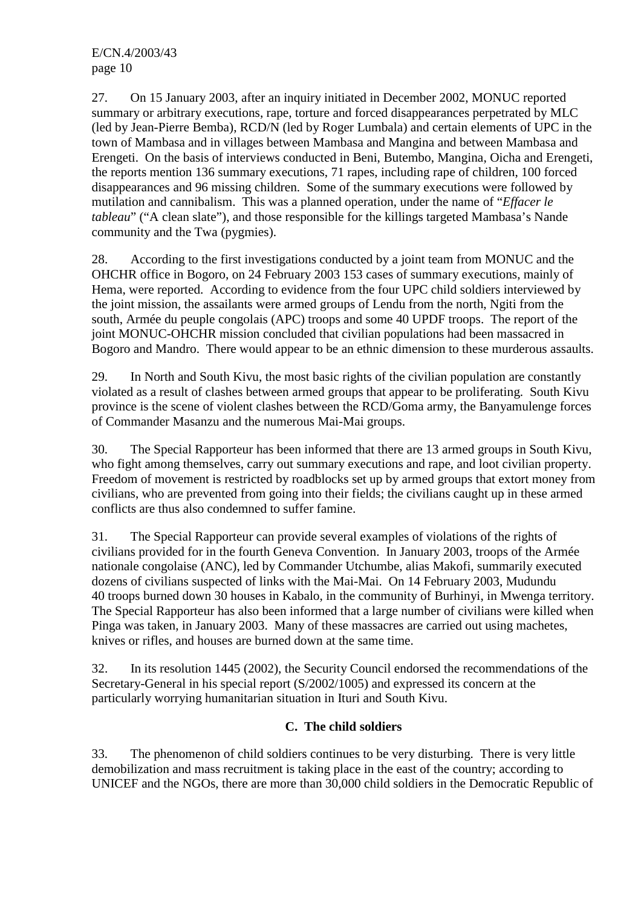27. On 15 January 2003, after an inquiry initiated in December 2002, MONUC reported summary or arbitrary executions, rape, torture and forced disappearances perpetrated by MLC (led by Jean-Pierre Bemba), RCD/N (led by Roger Lumbala) and certain elements of UPC in the town of Mambasa and in villages between Mambasa and Mangina and between Mambasa and Erengeti. On the basis of interviews conducted in Beni, Butembo, Mangina, Oicha and Erengeti, the reports mention 136 summary executions, 71 rapes, including rape of children, 100 forced disappearances and 96 missing children. Some of the summary executions were followed by mutilation and cannibalism. This was a planned operation, under the name of "*Effacer le tableau*" ("A clean slate"), and those responsible for the killings targeted Mambasa's Nande community and the Twa (pygmies).

28. According to the first investigations conducted by a joint team from MONUC and the OHCHR office in Bogoro, on 24 February 2003 153 cases of summary executions, mainly of Hema, were reported. According to evidence from the four UPC child soldiers interviewed by the joint mission, the assailants were armed groups of Lendu from the north, Ngiti from the south, Armée du peuple congolais (APC) troops and some 40 UPDF troops. The report of the joint MONUC-OHCHR mission concluded that civilian populations had been massacred in Bogoro and Mandro. There would appear to be an ethnic dimension to these murderous assaults.

29. In North and South Kivu, the most basic rights of the civilian population are constantly violated as a result of clashes between armed groups that appear to be proliferating. South Kivu province is the scene of violent clashes between the RCD/Goma army, the Banyamulenge forces of Commander Masanzu and the numerous Mai-Mai groups.

30. The Special Rapporteur has been informed that there are 13 armed groups in South Kivu, who fight among themselves, carry out summary executions and rape, and loot civilian property. Freedom of movement is restricted by roadblocks set up by armed groups that extort money from civilians, who are prevented from going into their fields; the civilians caught up in these armed conflicts are thus also condemned to suffer famine.

31. The Special Rapporteur can provide several examples of violations of the rights of civilians provided for in the fourth Geneva Convention. In January 2003, troops of the Armée nationale congolaise (ANC), led by Commander Utchumbe, alias Makofi, summarily executed dozens of civilians suspected of links with the Mai-Mai. On 14 February 2003, Mudundu 40 troops burned down 30 houses in Kabalo, in the community of Burhinyi, in Mwenga territory. The Special Rapporteur has also been informed that a large number of civilians were killed when Pinga was taken, in January 2003. Many of these massacres are carried out using machetes, knives or rifles, and houses are burned down at the same time.

32. In its resolution 1445 (2002), the Security Council endorsed the recommendations of the Secretary-General in his special report (S/2002/1005) and expressed its concern at the particularly worrying humanitarian situation in Ituri and South Kivu.

#### **C. The child soldiers**

33. The phenomenon of child soldiers continues to be very disturbing. There is very little demobilization and mass recruitment is taking place in the east of the country; according to UNICEF and the NGOs, there are more than 30,000 child soldiers in the Democratic Republic of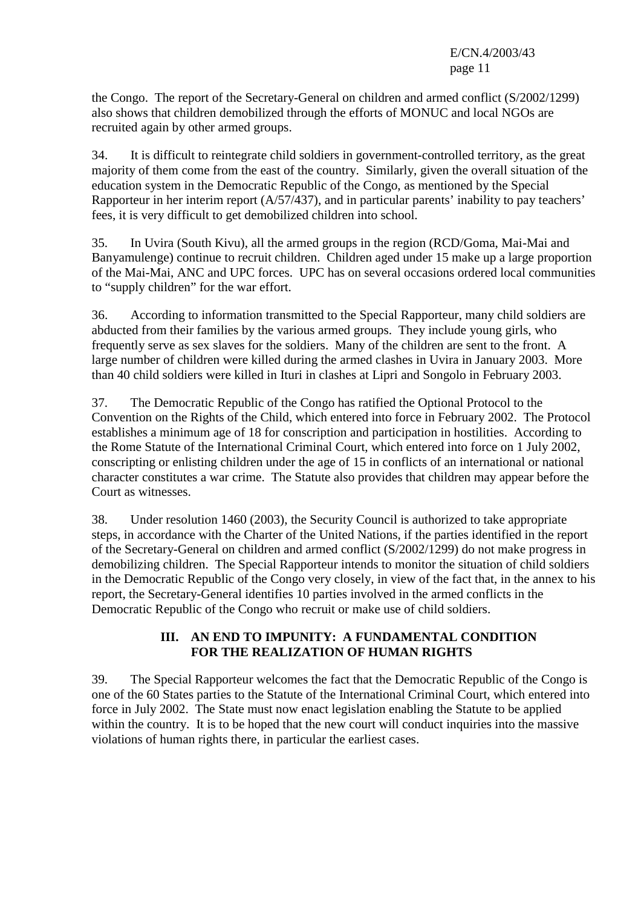the Congo. The report of the Secretary-General on children and armed conflict (S/2002/1299) also shows that children demobilized through the efforts of MONUC and local NGOs are recruited again by other armed groups.

34. It is difficult to reintegrate child soldiers in government-controlled territory, as the great majority of them come from the east of the country. Similarly, given the overall situation of the education system in the Democratic Republic of the Congo, as mentioned by the Special Rapporteur in her interim report (A/57/437), and in particular parents' inability to pay teachers' fees, it is very difficult to get demobilized children into school.

35. In Uvira (South Kivu), all the armed groups in the region (RCD/Goma, Mai-Mai and Banyamulenge) continue to recruit children. Children aged under 15 make up a large proportion of the Mai-Mai, ANC and UPC forces. UPC has on several occasions ordered local communities to "supply children" for the war effort.

36. According to information transmitted to the Special Rapporteur, many child soldiers are abducted from their families by the various armed groups. They include young girls, who frequently serve as sex slaves for the soldiers. Many of the children are sent to the front. A large number of children were killed during the armed clashes in Uvira in January 2003. More than 40 child soldiers were killed in Ituri in clashes at Lipri and Songolo in February 2003.

37. The Democratic Republic of the Congo has ratified the Optional Protocol to the Convention on the Rights of the Child, which entered into force in February 2002. The Protocol establishes a minimum age of 18 for conscription and participation in hostilities. According to the Rome Statute of the International Criminal Court, which entered into force on 1 July 2002, conscripting or enlisting children under the age of 15 in conflicts of an international or national character constitutes a war crime. The Statute also provides that children may appear before the Court as witnesses.

38. Under resolution 1460 (2003), the Security Council is authorized to take appropriate steps, in accordance with the Charter of the United Nations, if the parties identified in the report of the Secretary-General on children and armed conflict (S/2002/1299) do not make progress in demobilizing children. The Special Rapporteur intends to monitor the situation of child soldiers in the Democratic Republic of the Congo very closely, in view of the fact that, in the annex to his report, the Secretary-General identifies 10 parties involved in the armed conflicts in the Democratic Republic of the Congo who recruit or make use of child soldiers.

## **III. AN END TO IMPUNITY: A FUNDAMENTAL CONDITION FOR THE REALIZATION OF HUMAN RIGHTS**

39. The Special Rapporteur welcomes the fact that the Democratic Republic of the Congo is one of the 60 States parties to the Statute of the International Criminal Court, which entered into force in July 2002. The State must now enact legislation enabling the Statute to be applied within the country. It is to be hoped that the new court will conduct inquiries into the massive violations of human rights there, in particular the earliest cases.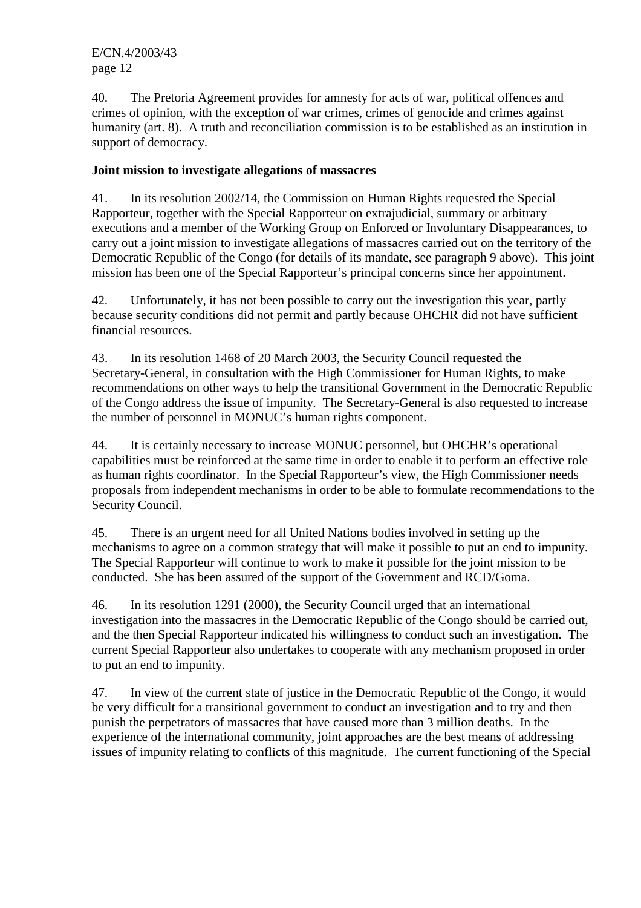40. The Pretoria Agreement provides for amnesty for acts of war, political offences and crimes of opinion, with the exception of war crimes, crimes of genocide and crimes against humanity (art. 8). A truth and reconciliation commission is to be established as an institution in support of democracy.

### **Joint mission to investigate allegations of massacres**

41. In its resolution 2002/14, the Commission on Human Rights requested the Special Rapporteur, together with the Special Rapporteur on extrajudicial, summary or arbitrary executions and a member of the Working Group on Enforced or Involuntary Disappearances, to carry out a joint mission to investigate allegations of massacres carried out on the territory of the Democratic Republic of the Congo (for details of its mandate, see paragraph 9 above). This joint mission has been one of the Special Rapporteur's principal concerns since her appointment.

42. Unfortunately, it has not been possible to carry out the investigation this year, partly because security conditions did not permit and partly because OHCHR did not have sufficient financial resources.

43. In its resolution 1468 of 20 March 2003, the Security Council requested the Secretary-General, in consultation with the High Commissioner for Human Rights, to make recommendations on other ways to help the transitional Government in the Democratic Republic of the Congo address the issue of impunity. The Secretary-General is also requested to increase the number of personnel in MONUC's human rights component.

44. It is certainly necessary to increase MONUC personnel, but OHCHR's operational capabilities must be reinforced at the same time in order to enable it to perform an effective role as human rights coordinator. In the Special Rapporteur's view, the High Commissioner needs proposals from independent mechanisms in order to be able to formulate recommendations to the Security Council.

45. There is an urgent need for all United Nations bodies involved in setting up the mechanisms to agree on a common strategy that will make it possible to put an end to impunity. The Special Rapporteur will continue to work to make it possible for the joint mission to be conducted. She has been assured of the support of the Government and RCD/Goma.

46. In its resolution 1291 (2000), the Security Council urged that an international investigation into the massacres in the Democratic Republic of the Congo should be carried out, and the then Special Rapporteur indicated his willingness to conduct such an investigation. The current Special Rapporteur also undertakes to cooperate with any mechanism proposed in order to put an end to impunity.

47. In view of the current state of justice in the Democratic Republic of the Congo, it would be very difficult for a transitional government to conduct an investigation and to try and then punish the perpetrators of massacres that have caused more than 3 million deaths. In the experience of the international community, joint approaches are the best means of addressing issues of impunity relating to conflicts of this magnitude. The current functioning of the Special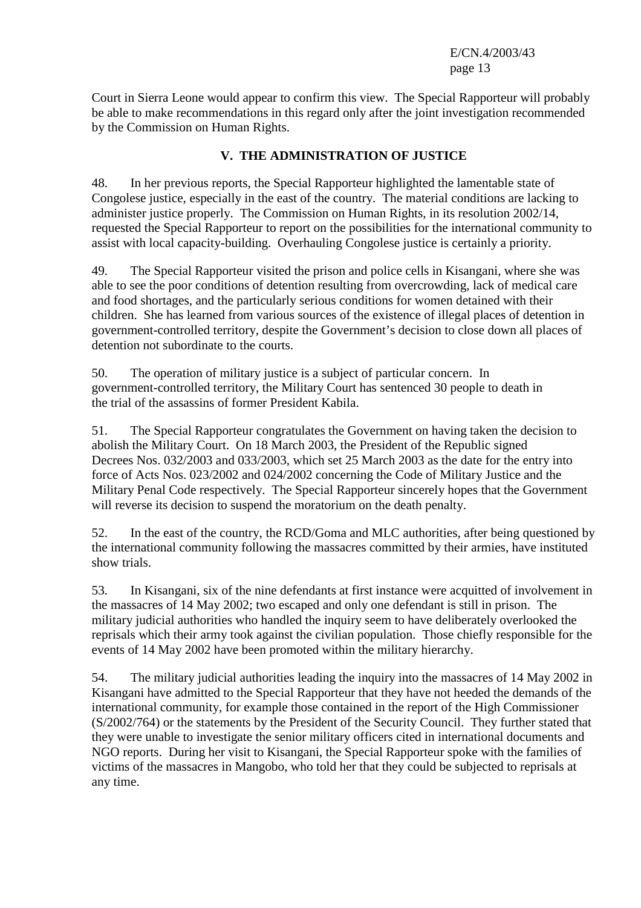Court in Sierra Leone would appear to confirm this view. The Special Rapporteur will probably be able to make recommendations in this regard only after the joint investigation recommended by the Commission on Human Rights.

## **V. THE ADMINISTRATION OF JUSTICE**

48. In her previous reports, the Special Rapporteur highlighted the lamentable state of Congolese justice, especially in the east of the country. The material conditions are lacking to administer justice properly. The Commission on Human Rights, in its resolution 2002/14, requested the Special Rapporteur to report on the possibilities for the international community to assist with local capacity-building. Overhauling Congolese justice is certainly a priority.

49. The Special Rapporteur visited the prison and police cells in Kisangani, where she was able to see the poor conditions of detention resulting from overcrowding, lack of medical care and food shortages, and the particularly serious conditions for women detained with their children. She has learned from various sources of the existence of illegal places of detention in government-controlled territory, despite the Government's decision to close down all places of detention not subordinate to the courts.

50. The operation of military justice is a subject of particular concern. In government-controlled territory, the Military Court has sentenced 30 people to death in the trial of the assassins of former President Kabila.

51. The Special Rapporteur congratulates the Government on having taken the decision to abolish the Military Court. On 18 March 2003, the President of the Republic signed Decrees Nos. 032/2003 and 033/2003, which set 25 March 2003 as the date for the entry into force of Acts Nos. 023/2002 and 024/2002 concerning the Code of Military Justice and the Military Penal Code respectively. The Special Rapporteur sincerely hopes that the Government will reverse its decision to suspend the moratorium on the death penalty.

52. In the east of the country, the RCD/Goma and MLC authorities, after being questioned by the international community following the massacres committed by their armies, have instituted show trials.

53. In Kisangani, six of the nine defendants at first instance were acquitted of involvement in the massacres of 14 May 2002; two escaped and only one defendant is still in prison. The military judicial authorities who handled the inquiry seem to have deliberately overlooked the reprisals which their army took against the civilian population. Those chiefly responsible for the events of 14 May 2002 have been promoted within the military hierarchy.

54. The military judicial authorities leading the inquiry into the massacres of 14 May 2002 in Kisangani have admitted to the Special Rapporteur that they have not heeded the demands of the international community, for example those contained in the report of the High Commissioner (S/2002/764) or the statements by the President of the Security Council. They further stated that they were unable to investigate the senior military officers cited in international documents and NGO reports. During her visit to Kisangani, the Special Rapporteur spoke with the families of victims of the massacres in Mangobo, who told her that they could be subjected to reprisals at any time.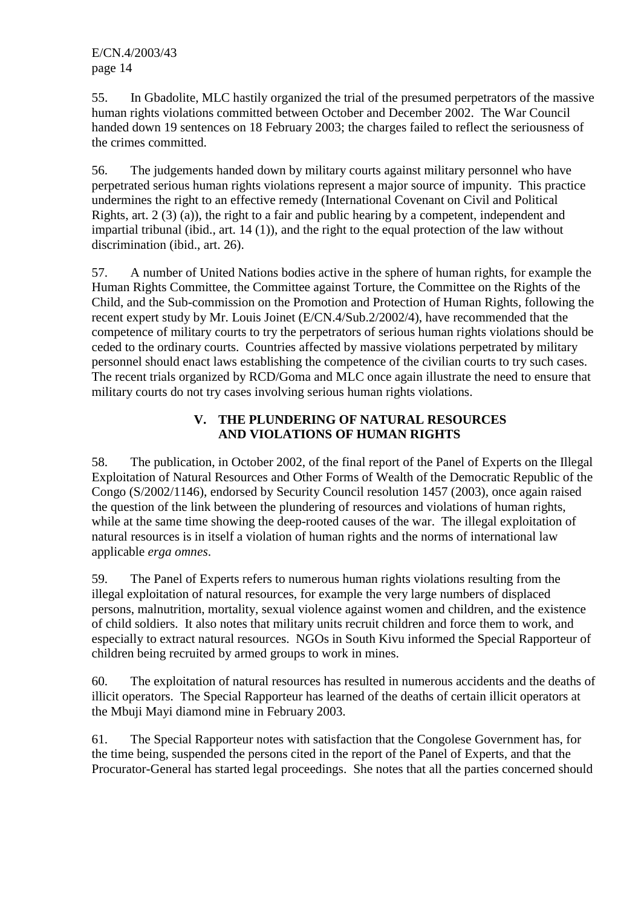55. In Gbadolite, MLC hastily organized the trial of the presumed perpetrators of the massive human rights violations committed between October and December 2002. The War Council handed down 19 sentences on 18 February 2003; the charges failed to reflect the seriousness of the crimes committed.

56. The judgements handed down by military courts against military personnel who have perpetrated serious human rights violations represent a major source of impunity. This practice undermines the right to an effective remedy (International Covenant on Civil and Political Rights, art. 2 (3) (a)), the right to a fair and public hearing by a competent, independent and impartial tribunal (ibid., art. 14 (1)), and the right to the equal protection of the law without discrimination (ibid., art. 26).

57. A number of United Nations bodies active in the sphere of human rights, for example the Human Rights Committee, the Committee against Torture, the Committee on the Rights of the Child, and the Sub-commission on the Promotion and Protection of Human Rights, following the recent expert study by Mr. Louis Joinet (E/CN.4/Sub.2/2002/4), have recommended that the competence of military courts to try the perpetrators of serious human rights violations should be ceded to the ordinary courts. Countries affected by massive violations perpetrated by military personnel should enact laws establishing the competence of the civilian courts to try such cases. The recent trials organized by RCD/Goma and MLC once again illustrate the need to ensure that military courts do not try cases involving serious human rights violations.

## **V. THE PLUNDERING OF NATURAL RESOURCES AND VIOLATIONS OF HUMAN RIGHTS**

58. The publication, in October 2002, of the final report of the Panel of Experts on the Illegal Exploitation of Natural Resources and Other Forms of Wealth of the Democratic Republic of the Congo (S/2002/1146), endorsed by Security Council resolution 1457 (2003), once again raised the question of the link between the plundering of resources and violations of human rights, while at the same time showing the deep-rooted causes of the war. The illegal exploitation of natural resources is in itself a violation of human rights and the norms of international law applicable *erga omnes*.

59. The Panel of Experts refers to numerous human rights violations resulting from the illegal exploitation of natural resources, for example the very large numbers of displaced persons, malnutrition, mortality, sexual violence against women and children, and the existence of child soldiers. It also notes that military units recruit children and force them to work, and especially to extract natural resources. NGOs in South Kivu informed the Special Rapporteur of children being recruited by armed groups to work in mines.

60. The exploitation of natural resources has resulted in numerous accidents and the deaths of illicit operators. The Special Rapporteur has learned of the deaths of certain illicit operators at the Mbuji Mayi diamond mine in February 2003.

61. The Special Rapporteur notes with satisfaction that the Congolese Government has, for the time being, suspended the persons cited in the report of the Panel of Experts, and that the Procurator-General has started legal proceedings. She notes that all the parties concerned should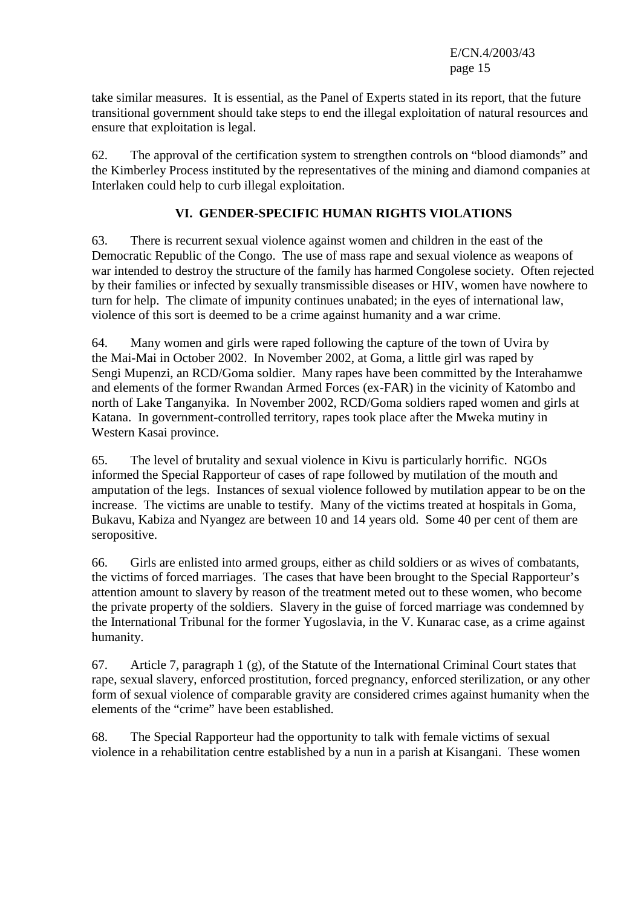take similar measures. It is essential, as the Panel of Experts stated in its report, that the future transitional government should take steps to end the illegal exploitation of natural resources and ensure that exploitation is legal.

62. The approval of the certification system to strengthen controls on "blood diamonds" and the Kimberley Process instituted by the representatives of the mining and diamond companies at Interlaken could help to curb illegal exploitation.

### **VI. GENDER-SPECIFIC HUMAN RIGHTS VIOLATIONS**

63. There is recurrent sexual violence against women and children in the east of the Democratic Republic of the Congo. The use of mass rape and sexual violence as weapons of war intended to destroy the structure of the family has harmed Congolese society. Often rejected by their families or infected by sexually transmissible diseases or HIV, women have nowhere to turn for help. The climate of impunity continues unabated; in the eyes of international law, violence of this sort is deemed to be a crime against humanity and a war crime.

64. Many women and girls were raped following the capture of the town of Uvira by the Mai-Mai in October 2002. In November 2002, at Goma, a little girl was raped by Sengi Mupenzi, an RCD/Goma soldier. Many rapes have been committed by the Interahamwe and elements of the former Rwandan Armed Forces (ex-FAR) in the vicinity of Katombo and north of Lake Tanganyika. In November 2002, RCD/Goma soldiers raped women and girls at Katana. In government-controlled territory, rapes took place after the Mweka mutiny in Western Kasai province.

65. The level of brutality and sexual violence in Kivu is particularly horrific. NGOs informed the Special Rapporteur of cases of rape followed by mutilation of the mouth and amputation of the legs. Instances of sexual violence followed by mutilation appear to be on the increase. The victims are unable to testify. Many of the victims treated at hospitals in Goma, Bukavu, Kabiza and Nyangez are between 10 and 14 years old. Some 40 per cent of them are seropositive.

66. Girls are enlisted into armed groups, either as child soldiers or as wives of combatants, the victims of forced marriages. The cases that have been brought to the Special Rapporteur's attention amount to slavery by reason of the treatment meted out to these women, who become the private property of the soldiers. Slavery in the guise of forced marriage was condemned by the International Tribunal for the former Yugoslavia, in the V. Kunarac case, as a crime against humanity.

67. Article 7, paragraph 1 (g), of the Statute of the International Criminal Court states that rape, sexual slavery, enforced prostitution, forced pregnancy, enforced sterilization, or any other form of sexual violence of comparable gravity are considered crimes against humanity when the elements of the "crime" have been established.

68. The Special Rapporteur had the opportunity to talk with female victims of sexual violence in a rehabilitation centre established by a nun in a parish at Kisangani. These women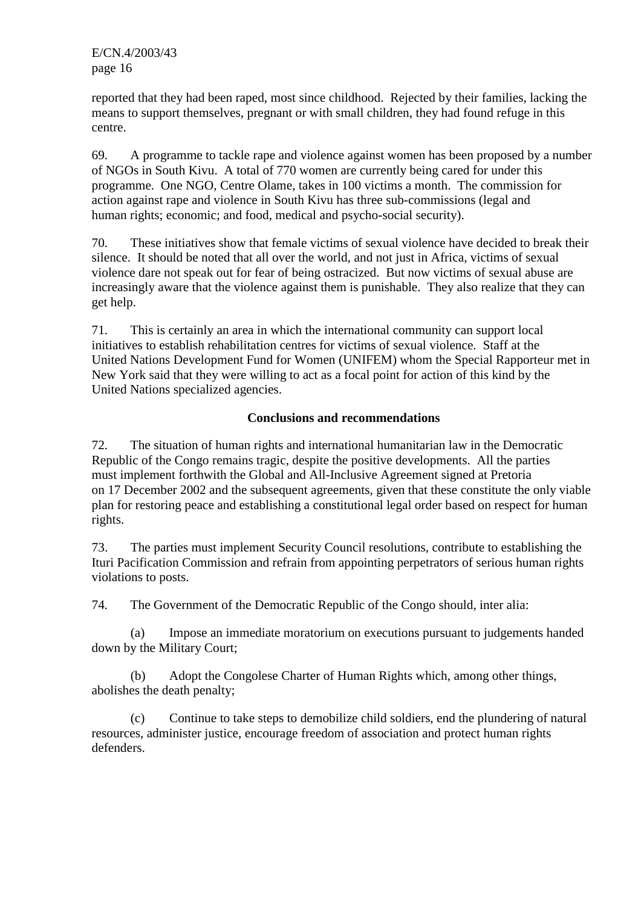reported that they had been raped, most since childhood. Rejected by their families, lacking the means to support themselves, pregnant or with small children, they had found refuge in this centre.

69. A programme to tackle rape and violence against women has been proposed by a number of NGOs in South Kivu. A total of 770 women are currently being cared for under this programme. One NGO, Centre Olame, takes in 100 victims a month. The commission for action against rape and violence in South Kivu has three sub-commissions (legal and human rights; economic; and food, medical and psycho-social security).

70. These initiatives show that female victims of sexual violence have decided to break their silence. It should be noted that all over the world, and not just in Africa, victims of sexual violence dare not speak out for fear of being ostracized. But now victims of sexual abuse are increasingly aware that the violence against them is punishable. They also realize that they can get help.

71. This is certainly an area in which the international community can support local initiatives to establish rehabilitation centres for victims of sexual violence. Staff at the United Nations Development Fund for Women (UNIFEM) whom the Special Rapporteur met in New York said that they were willing to act as a focal point for action of this kind by the United Nations specialized agencies.

#### **Conclusions and recommendations**

72. The situation of human rights and international humanitarian law in the Democratic Republic of the Congo remains tragic, despite the positive developments. All the parties must implement forthwith the Global and All-Inclusive Agreement signed at Pretoria on 17 December 2002 and the subsequent agreements, given that these constitute the only viable plan for restoring peace and establishing a constitutional legal order based on respect for human rights.

73. The parties must implement Security Council resolutions, contribute to establishing the Ituri Pacification Commission and refrain from appointing perpetrators of serious human rights violations to posts.

74. The Government of the Democratic Republic of the Congo should, inter alia:

 (a) Impose an immediate moratorium on executions pursuant to judgements handed down by the Military Court;

 (b) Adopt the Congolese Charter of Human Rights which, among other things, abolishes the death penalty;

 (c) Continue to take steps to demobilize child soldiers, end the plundering of natural resources, administer justice, encourage freedom of association and protect human rights defenders.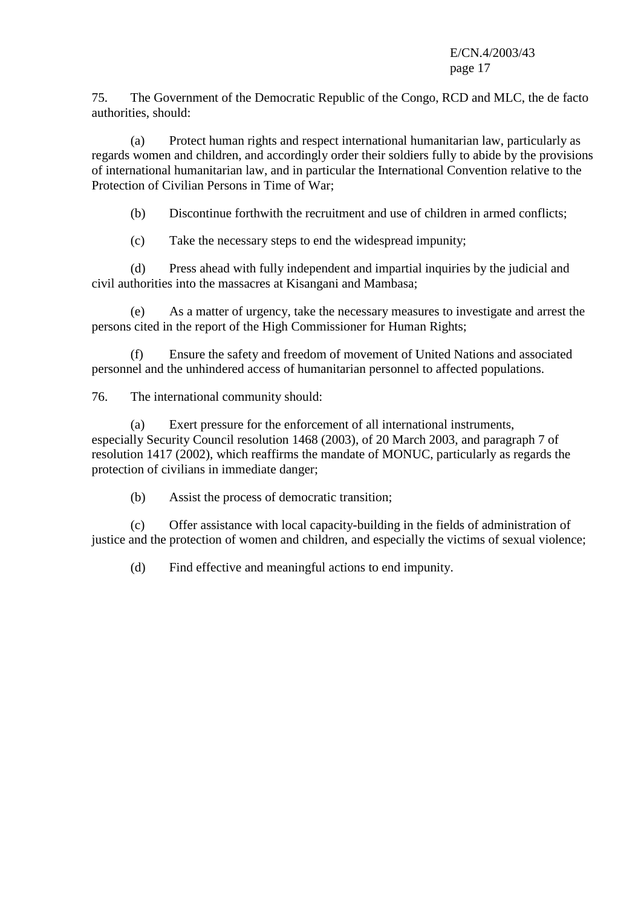75. The Government of the Democratic Republic of the Congo, RCD and MLC, the de facto authorities, should:

 (a) Protect human rights and respect international humanitarian law, particularly as regards women and children, and accordingly order their soldiers fully to abide by the provisions of international humanitarian law, and in particular the International Convention relative to the Protection of Civilian Persons in Time of War;

(b) Discontinue forthwith the recruitment and use of children in armed conflicts;

(c) Take the necessary steps to end the widespread impunity;

 (d) Press ahead with fully independent and impartial inquiries by the judicial and civil authorities into the massacres at Kisangani and Mambasa;

 (e) As a matter of urgency, take the necessary measures to investigate and arrest the persons cited in the report of the High Commissioner for Human Rights;

 (f) Ensure the safety and freedom of movement of United Nations and associated personnel and the unhindered access of humanitarian personnel to affected populations.

76. The international community should:

 (a) Exert pressure for the enforcement of all international instruments, especially Security Council resolution 1468 (2003), of 20 March 2003, and paragraph 7 of resolution 1417 (2002), which reaffirms the mandate of MONUC, particularly as regards the protection of civilians in immediate danger;

(b) Assist the process of democratic transition;

 (c) Offer assistance with local capacity-building in the fields of administration of justice and the protection of women and children, and especially the victims of sexual violence;

(d) Find effective and meaningful actions to end impunity.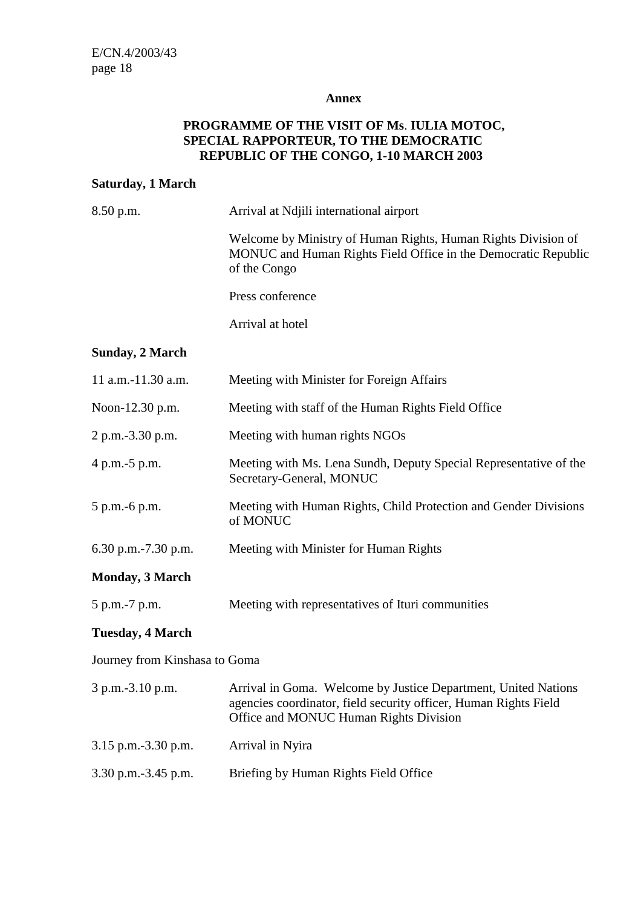#### **Annex**

## **PROGRAMME OF THE VISIT OF Ms**. **IULIA MOTOC, SPECIAL RAPPORTEUR, TO THE DEMOCRATIC REPUBLIC OF THE CONGO, 1-10 MARCH 2003**

#### **Saturday, 1 March**

| 8.50 p.m.                     | Arrival at Ndjili international airport                                                                                                                                      |  |  |  |
|-------------------------------|------------------------------------------------------------------------------------------------------------------------------------------------------------------------------|--|--|--|
|                               | Welcome by Ministry of Human Rights, Human Rights Division of<br>MONUC and Human Rights Field Office in the Democratic Republic<br>of the Congo                              |  |  |  |
|                               | Press conference                                                                                                                                                             |  |  |  |
|                               | Arrival at hotel                                                                                                                                                             |  |  |  |
| <b>Sunday, 2 March</b>        |                                                                                                                                                                              |  |  |  |
| 11 a.m.-11.30 a.m.            | Meeting with Minister for Foreign Affairs                                                                                                                                    |  |  |  |
| Noon-12.30 p.m.               | Meeting with staff of the Human Rights Field Office                                                                                                                          |  |  |  |
| 2 p.m.-3.30 p.m.              | Meeting with human rights NGOs                                                                                                                                               |  |  |  |
| 4 p.m.-5 p.m.                 | Meeting with Ms. Lena Sundh, Deputy Special Representative of the<br>Secretary-General, MONUC                                                                                |  |  |  |
| 5 p.m.-6 p.m.                 | Meeting with Human Rights, Child Protection and Gender Divisions<br>of MONUC                                                                                                 |  |  |  |
| 6.30 p.m. $-7.30$ p.m.        | Meeting with Minister for Human Rights                                                                                                                                       |  |  |  |
| <b>Monday, 3 March</b>        |                                                                                                                                                                              |  |  |  |
| 5 p.m.-7 p.m.                 | Meeting with representatives of Ituri communities                                                                                                                            |  |  |  |
| <b>Tuesday, 4 March</b>       |                                                                                                                                                                              |  |  |  |
| Journey from Kinshasa to Goma |                                                                                                                                                                              |  |  |  |
| 3 p.m.-3.10 p.m.              | Arrival in Goma. Welcome by Justice Department, United Nations<br>agencies coordinator, field security officer, Human Rights Field<br>Office and MONUC Human Rights Division |  |  |  |
| 3.15 p.m.-3.30 p.m.           | Arrival in Nyira                                                                                                                                                             |  |  |  |
| 3.30 p.m.-3.45 p.m.           | Briefing by Human Rights Field Office                                                                                                                                        |  |  |  |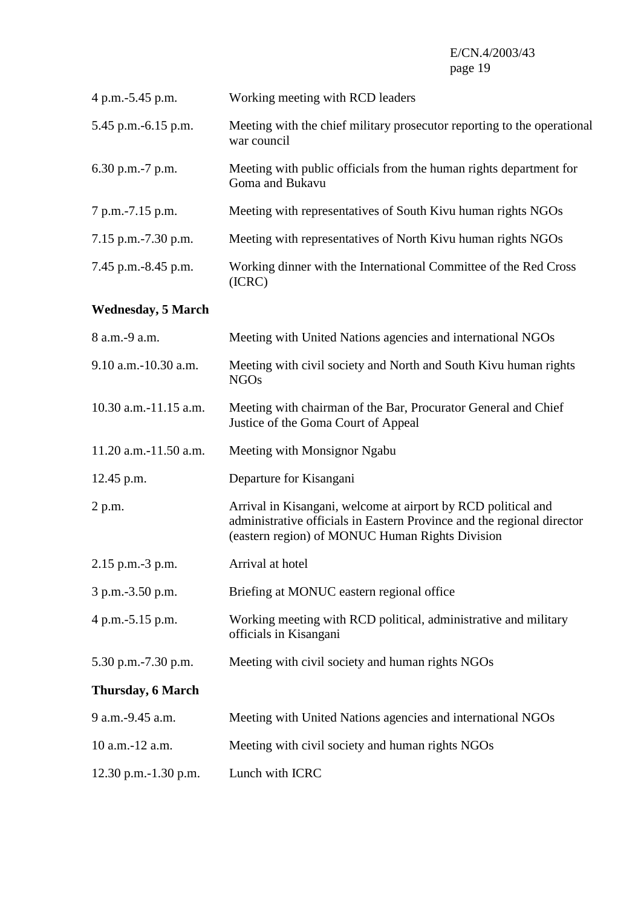| 4 p.m.-5.45 p.m.          | Working meeting with RCD leaders                                                                                                                                                           |
|---------------------------|--------------------------------------------------------------------------------------------------------------------------------------------------------------------------------------------|
| 5.45 p.m.-6.15 p.m.       | Meeting with the chief military prosecutor reporting to the operational<br>war council                                                                                                     |
| 6.30 p.m.-7 p.m.          | Meeting with public officials from the human rights department for<br>Goma and Bukavu                                                                                                      |
| 7 p.m.-7.15 p.m.          | Meeting with representatives of South Kivu human rights NGOs                                                                                                                               |
| 7.15 p.m.-7.30 p.m.       | Meeting with representatives of North Kivu human rights NGOs                                                                                                                               |
| 7.45 p.m.-8.45 p.m.       | Working dinner with the International Committee of the Red Cross<br>(ICRC)                                                                                                                 |
| <b>Wednesday, 5 March</b> |                                                                                                                                                                                            |
| 8 a.m.-9 a.m.             | Meeting with United Nations agencies and international NGOs                                                                                                                                |
| 9.10 a.m.-10.30 a.m.      | Meeting with civil society and North and South Kivu human rights<br><b>NGOs</b>                                                                                                            |
| 10.30 a.m.-11.15 a.m.     | Meeting with chairman of the Bar, Procurator General and Chief<br>Justice of the Goma Court of Appeal                                                                                      |
| 11.20 a.m.-11.50 a.m.     | Meeting with Monsignor Ngabu                                                                                                                                                               |
| 12.45 p.m.                | Departure for Kisangani                                                                                                                                                                    |
| 2 p.m.                    | Arrival in Kisangani, welcome at airport by RCD political and<br>administrative officials in Eastern Province and the regional director<br>(eastern region) of MONUC Human Rights Division |
| 2.15 p.m.-3 p.m.          | Arrival at hotel                                                                                                                                                                           |
| 3 p.m.-3.50 p.m.          | Briefing at MONUC eastern regional office                                                                                                                                                  |
| 4 p.m.-5.15 p.m.          | Working meeting with RCD political, administrative and military<br>officials in Kisangani                                                                                                  |
| 5.30 p.m.-7.30 p.m.       | Meeting with civil society and human rights NGOs                                                                                                                                           |
| <b>Thursday, 6 March</b>  |                                                                                                                                                                                            |
| 9 a.m.-9.45 a.m.          | Meeting with United Nations agencies and international NGOs                                                                                                                                |
| 10 a.m.-12 a.m.           | Meeting with civil society and human rights NGOs                                                                                                                                           |
| 12.30 p.m.-1.30 p.m.      | Lunch with ICRC                                                                                                                                                                            |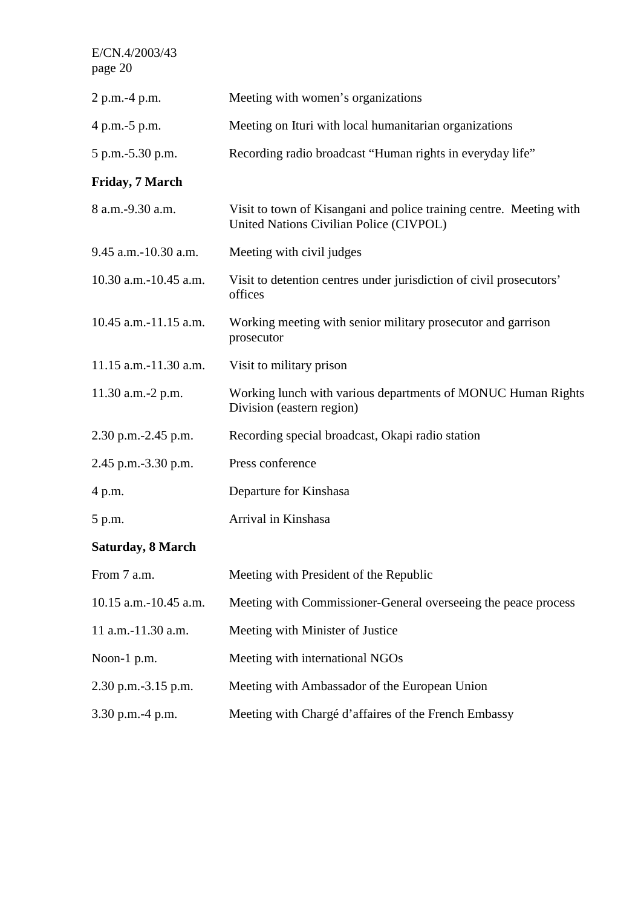| 2 p.m.-4 p.m.            | Meeting with women's organizations                                                                             |
|--------------------------|----------------------------------------------------------------------------------------------------------------|
| 4 p.m.-5 p.m.            | Meeting on Ituri with local humanitarian organizations                                                         |
| 5 p.m.-5.30 p.m.         | Recording radio broadcast "Human rights in everyday life"                                                      |
| <b>Friday, 7 March</b>   |                                                                                                                |
| 8 a.m.-9.30 a.m.         | Visit to town of Kisangani and police training centre. Meeting with<br>United Nations Civilian Police (CIVPOL) |
| 9.45 a.m.-10.30 a.m.     | Meeting with civil judges                                                                                      |
| 10.30 a.m.-10.45 a.m.    | Visit to detention centres under jurisdiction of civil prosecutors'<br>offices                                 |
| 10.45 a.m.-11.15 a.m.    | Working meeting with senior military prosecutor and garrison<br>prosecutor                                     |
| 11.15 a.m.-11.30 a.m.    | Visit to military prison                                                                                       |
| 11.30 a.m.-2 p.m.        | Working lunch with various departments of MONUC Human Rights<br>Division (eastern region)                      |
| 2.30 p.m.-2.45 p.m.      | Recording special broadcast, Okapi radio station                                                               |
| 2.45 p.m.-3.30 p.m.      | Press conference                                                                                               |
| 4 p.m.                   | Departure for Kinshasa                                                                                         |
| 5 p.m.                   | Arrival in Kinshasa                                                                                            |
| <b>Saturday, 8 March</b> |                                                                                                                |
| From 7 a.m.              | Meeting with President of the Republic                                                                         |
| 10.15 a.m.-10.45 a.m.    | Meeting with Commissioner-General overseeing the peace process                                                 |
|                          |                                                                                                                |

11 a.m.-11.30 a.m. Meeting with Minister of Justice

Noon-1 p.m. Meeting with international NGOs

- 2.30 p.m.-3.15 p.m. Meeting with Ambassador of the European Union
- 3.30 p.m.-4 p.m. Meeting with Chargé d'affaires of the French Embassy